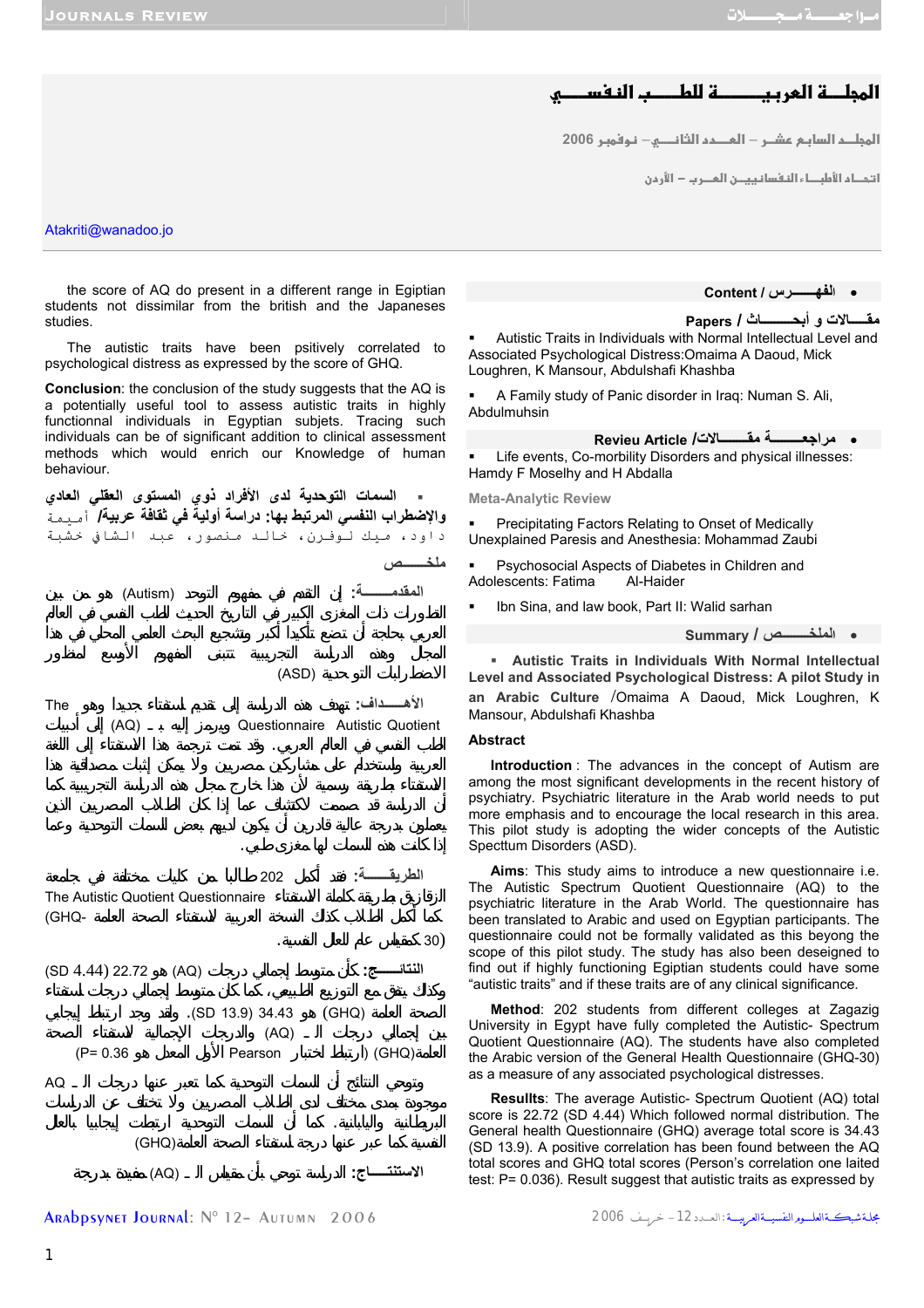# المجلــــة العربيـــــــــة للطـــــب النـفســــــو

<mark>المجلــد السابـم عشــر – العــــدد الثانــــــي– نـوفمبـر 2006</mark>

<mark>ا</mark> تحـاد الأطبــاء النفسانييــن العــرب − الأردن

Atakriti@wanadoo.jo

the score of AQ do present in a different range in Egiptian students not dissimilar from the british and the Japaneses studies.

The autistic traits have been psitively correlated to psychological distress as expressed by the score of GHQ.

**Conclusion**: the conclusion of the study suggests that the AQ is a potentially useful tool to assess autistic traits in highly functionnal individuals in Egyptian subjets. Tracing such individuals can be of significant addition to clinical assessment methods which would enrich our Knowledge of human behaviour.

 **السمات التوحدية لدى الأفراد ذوي المستوى العقلي العادي والإضطراب النفسي المرتبط بها: دراسة أولية في ثقافة عربية/** أميمة داود، ميك لوفرن، خالد منصور، عبد الشافي خشبة **ملخـــــــص المقدمــــــــة:** إن التقدم في مفهوم التوحد (Autism (هو من بين



Arabpsynet Journal: N° 12– Autumn 2006 2006 خريــــف -12الـعــــدد: مجلــةشبكـــةالعلــــــومالنفسيــــةالعربيـــــة

• **الفهـــــــرس / Content**

**Papers / أبحـــــــــاث و مقـــــالات**

 Autistic Traits in Individuals with Normal Intellectual Level and Associated Psychological Distress:Omaima A Daoud, Mick Loughren, K Mansour, Abdulshafi Khashba

 A Family study of Panic disorder in Iraq: Numan S. Ali, Abdulmuhsin

• **مراجعـــــــــة مقــــــــالات/ Article Revieu**

 Life events, Co-morbility Disorders and physical illnesses: Hamdy F Moselhy and H Abdalla

**Meta-Analytic Review** 

 Precipitating Factors Relating to Onset of Medically Unexplained Paresis and Anesthesia: Mohammad Zaubi

 Psychosocial Aspects of Diabetes in Children and Adolescents: Fatima Al-Haider

Ibn Sina, and law book, Part II: Walid sarhan

• **الملخــــــــص / Summary**

 **Autistic Traits in Individuals With Normal Intellectual Level and Associated Psychological Distress: A pilot Study in an Arabic Culture** /Omaima A Daoud, Mick Loughren, K Mansour, Abdulshafi Khashba

#### **Abstract**

**Introduction** : The advances in the concept of Autism are among the most significant developments in the recent history of psychiatry. Psychiatric literature in the Arab world needs to put more emphasis and to encourage the local research in this area. This pilot study is adopting the wider concepts of the Autistic Specttum Disorders (ASD).

**Aims**: This study aims to introduce a new questionnaire i.e. The Autistic Spectrum Quotient Questionnaire (AQ) to the psychiatric literature in the Arab World. The questionnaire has been translated to Arabic and used on Egyptian participants. The questionnaire could not be formally validated as this beyong the scope of this pilot study. The study has also been deseigned to find out if highly functioning Egiptian students could have some "autistic traits" and if these traits are of any clinical significance.

**Method**: 202 students from different colleges at Zagazig University in Egypt have fully completed the Autistic- Spectrum Quotient Questionnaire (AQ). The students have also completed the Arabic version of the General Health Questionnaire (GHQ-30) as a measure of any associated psychological distresses.

**Resullts**: The average Autistic- Spectrum Quotient (AQ) total score is 22.72 (SD 4.44) Which followed normal distribution. The General health Questionnaire (GHQ) average total score is 34.43 (SD 13.9). A positive correlation has been found between the AQ total scores and GHQ total scores (Person's correlation one laited test: P= 0.036). Result suggest that autistic traits as expressed by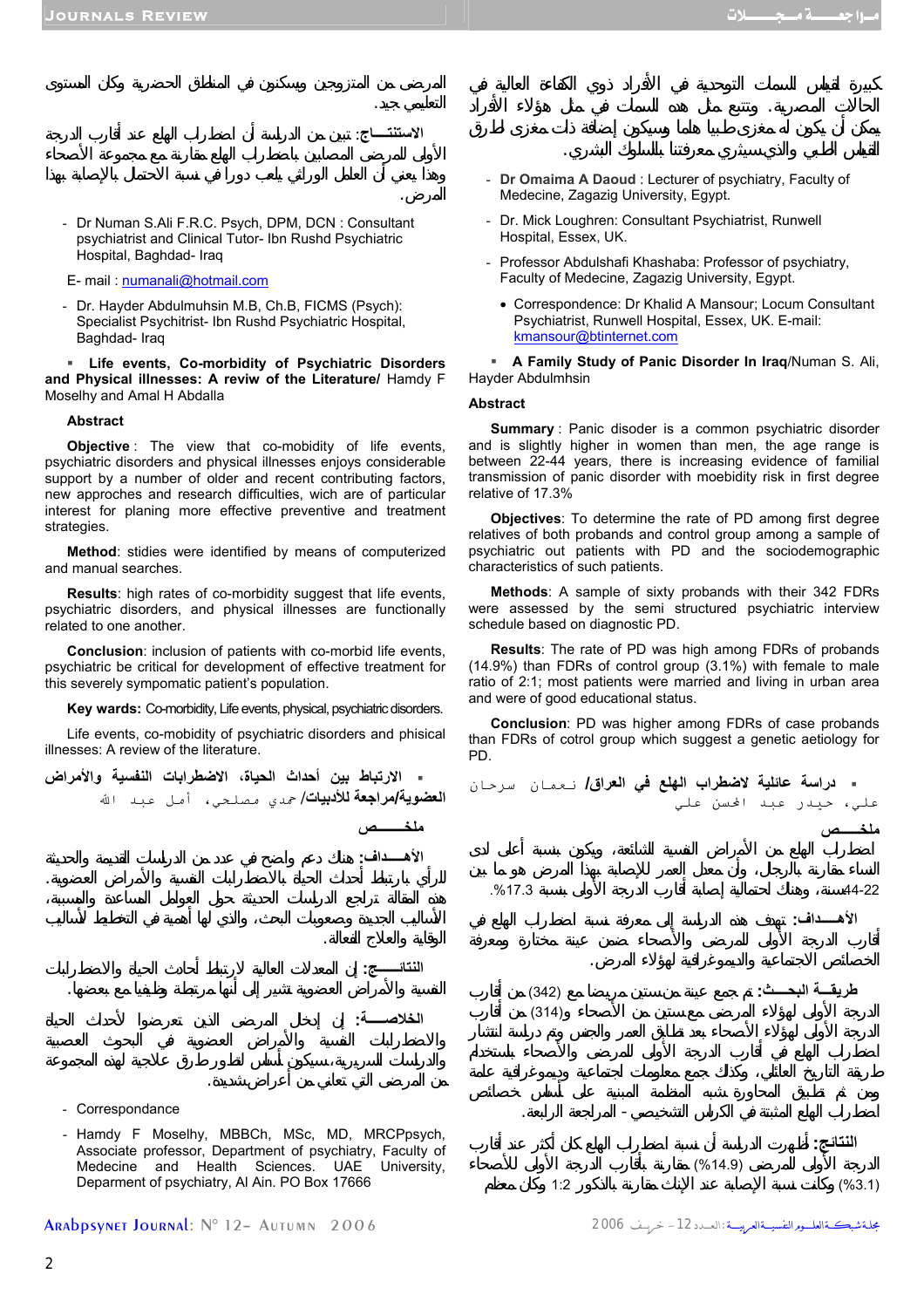# **الاستنتــــاج**: تبين من الدراسة أن طراب الهلع عند أقارب الدرجة

**ملخــــــــص**

**الأهـــــداف:** هناك دعم واضح في عدد من الدراسات القديمة والحديثة

التعليمي جيد.

المرض.

- Dr Numan S.Ali F.R.C. Psych, DPM, DCN : Consultant psychiatrist and Clinical Tutor- Ibn Rushd Psychiatric Hospital, Baghdad- Iraq
- E- mail : numanali@hotmail.com
- Dr. Hayder Abdulmuhsin M.B, Ch.B, FICMS (Psych): Specialist Psychitrist- Ibn Rushd Psychiatric Hospital, Baghdad- Iraq

 **Life events, Co-morbidity of Psychiatric Disorders and Physical illnesses: A reviw of the Literature/** Hamdy F Moselhy and Amal H Abdalla

#### **Abstract**

**Objective** : The view that co-mobidity of life events, psychiatric disorders and physical illnesses enjoys considerable support by a number of older and recent contributing factors, new approches and research difficulties, wich are of particular interest for planing more effective preventive and treatment strategies.

**Method**: stidies were identified by means of computerized and manual searches.

**Results**: high rates of co-morbidity suggest that life events, psychiatric disorders, and physical illnesses are functionally related to one another.

**Conclusion**: inclusion of patients with co-morbid life events, psychiatric be critical for development of effective treatment for this severely sympomatic patient's population.

**Key wards:** Co-morbidity, Life events, physical, psychiatric disorders.

Life events, co-mobidity of psychiatric disorders and phisical illnesses: A review of the literature.

|  | ـ الارتباط بين أحداث الحياة، الاضطرابات النفسية والأمراض  |  |  |  |
|--|-----------------------------------------------------------|--|--|--|
|  | ا <b>لعضوية/مراجعة للأدبيات/</b> حمدي مصلحي، أمل عبد الله |  |  |  |

**النتائــــــج:** إن المعدلات العالية لارتباط أحادث الحياة والاضطرابات

**الخلاصـــــة:** إن إدخال المرضى الذين تعرضوا لأحداث الحياة

- **Dr Omaima A Daoud** : Lecturer of psychiatry, Faculty of Medecine, Zagazig University, Egypt.

الحالات لمصرية. وتتبع مثل هده السمات في مثل هؤلاء الأفراد

القياس الطبي والذي سيثري معرفتنا بالسلوك البشري.

- Dr. Mick Loughren: Consultant Psychiatrist, Runwell Hospital, Essex, UK.
- Professor Abdulshafi Khashaba: Professor of psychiatry, Faculty of Medecine, Zagazig University, Egypt.
	- Correspondence: Dr Khalid A Mansour; Locum Consultant Psychiatrist, Runwell Hospital, Essex, UK. E-mail: kmansour@btinternet.com
- **A Family Study of Panic Disorder In Iraq**/Numan S. Ali, Hayder Abdulmhsin

### **Abstract**

**Summary** : Panic disoder is a common psychiatric disorder and is slightly higher in women than men, the age range is between 22-44 years, there is increasing evidence of familial transmission of panic disorder with moebidity risk in first degree relative of 17.3%

**Objectives**: To determine the rate of PD among first degree relatives of both probands and control group among a sample of psychiatric out patients with PD and the sociodemographic characteristics of such patients.

**Methods**: A sample of sixty probands with their 342 FDRs were assessed by the semi structured psychiatric interview schedule based on diagnostic PD.

**Results**: The rate of PD was high among FDRs of probands (14.9%) than FDRs of control group (3.1%) with female to male ratio of 2:1; most patients were married and living in urban area and were of good educational status.

**Conclusion**: PD was higher among FDRs of case probands than FDRs of cotrol group which suggest a genetic aetiology for PD.



- Correspondance

- Hamdy F Moselhy, MBBCh, MSc, MD, MRCPpsych, Associate professor, Department of psychiatry, Faculty of Medecine and Health Sciences. UAE University, Deparment of psychiatry, Al Ain. PO Box 17666

من المرض التي تعاني من أعراض شديدة.

Arabpsynet Journal: N° 12– Autumn 2006 2006 خريــــف -12الـعــــدد: مجلــةشبكـــةالعلــــــومالنفسيــــةالعربيـــــة

النتائج<u>:</u>  $(%14.9)$  $1:2$  (%3.1)

اضطراب الهلع المثبتة في الكراس التشخيصي- المراجعة الرابعة.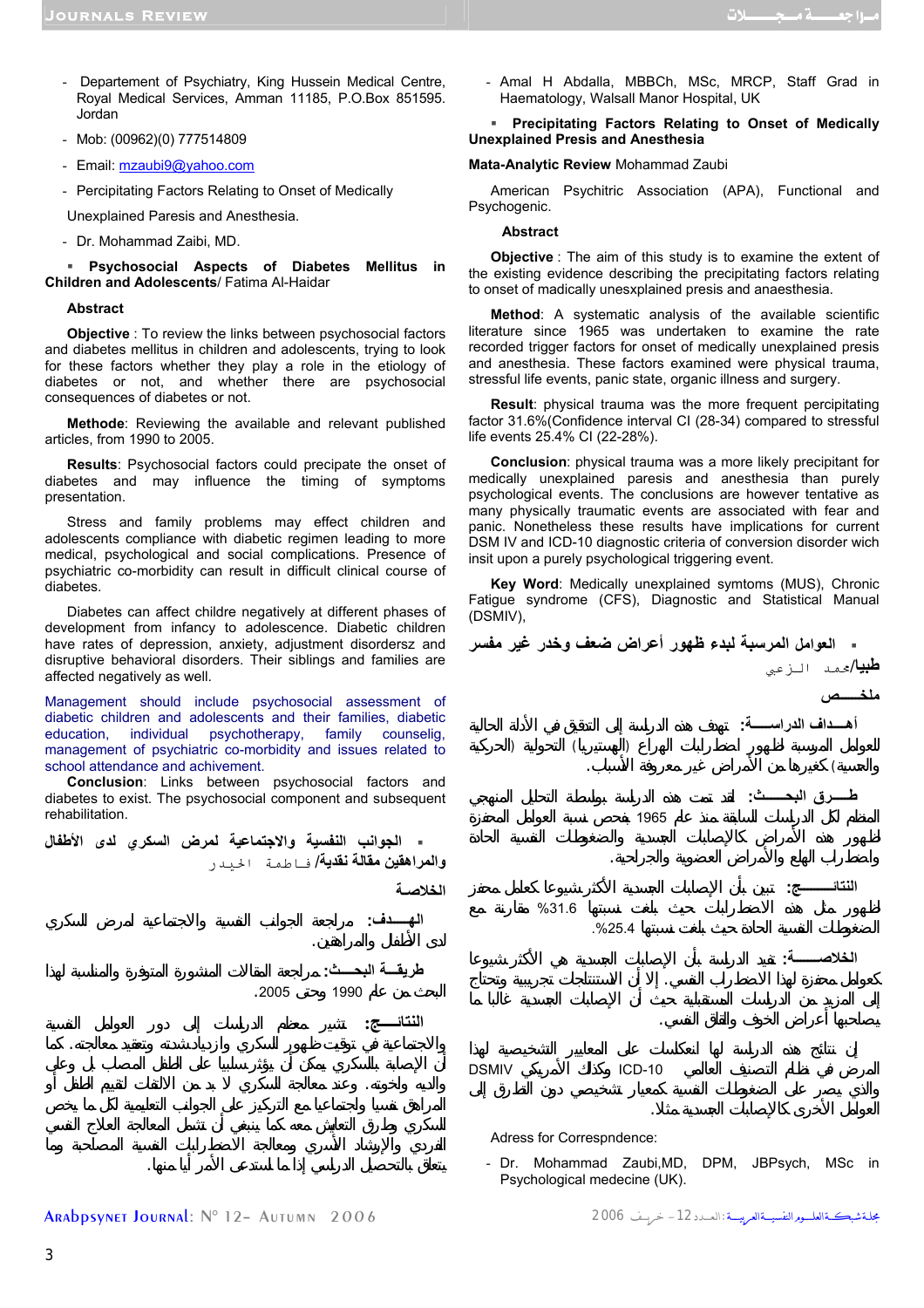- Departement of Psychiatry, King Hussein Medical Centre, Royal Medical Services, Amman 11185, P.O.Box 851595. Jordan
- Mob: (00962)(0) 777514809
- Email: mzaubi9@yahoo.com
- Percipitating Factors Relating to Onset of Medically
- Unexplained Paresis and Anesthesia.
- Dr. Mohammad Zaibi, MD.

 **Psychosocial Aspects of Diabetes Mellitus in Children and Adolescents**/ Fatima Al-Haidar

#### **Abstract**

**Objective** : To review the links between psychosocial factors and diabetes mellitus in children and adolescents, trying to look for these factors whether they play a role in the etiology of diabetes or not, and whether there are psychosocial consequences of diabetes or not.

**Methode**: Reviewing the available and relevant published articles, from 1990 to 2005.

**Results**: Psychosocial factors could precipate the onset of diabetes and may influence the timing of symptoms presentation.

Stress and family problems may effect children and adolescents compliance with diabetic regimen leading to more medical, psychological and social complications. Presence of psychiatric co-morbidity can result in difficult clinical course of diabetes.

Diabetes can affect childre negatively at different phases of development from infancy to adolescence. Diabetic children have rates of depression, anxiety, adjustment disordersz and disruptive behavioral disorders. Their siblings and families are affected negatively as well.

Management should include psychosocial assessment of diabetic children and adolescents and their families, diabetic education, individual psychotherapy, family counselig, management of psychiatric co-morbidity and issues related to school attendance and achivement.

**Conclusion**: Links between psychosocial factors and diabetes to exist. The psychosocial component and subsequent rehabilitation.

 **الجوانب النفسية والاجتماعية لمرض السكري لدى الأطفال والمراهقين مقالة نقدية**/ فاطمة الحيدر **الخلاصـة**

والاجتماعية في توقيت ظهور السكري وازدياد شدته وتعقيد معالجته. ما

والديه واخوته. عند معالجة السكري بد من الالتفات لتقييم الطفل أو

تعلق بالتحصيل الدراسي ذا ما استدعى الأمر أيا منها.

**الهـــــدف:** راجعة الجوانب النفسية والاجتماعية لمرض السكري

**طريقـــة البحــــث:** مراجعة المقالات المنشورة المتوفرة والمناسبة لهذا  $.2005$  1990

لدى الأطفال والمراهقين.

النتائـــــج:

- Amal H Abdalla, MBBCh, MSc, MRCP, Staff Grad in Haematology, Walsall Manor Hospital, UK

#### **Precipitating Factors Relating to Onset of Medically Unexplained Presis and Anesthesia**

#### **Mata-Analytic Review** Mohammad Zaubi

American Psychitric Association (APA), Functional and Psychogenic.

#### **Abstract**

**Objective** : The aim of this study is to examine the extent of the existing evidence describing the precipitating factors relating to onset of madically unesxplained presis and anaesthesia.

**Method**: A systematic analysis of the available scientific literature since 1965 was undertaken to examine the rate recorded trigger factors for onset of medically unexplained presis and anesthesia. These factors examined were physical trauma, stressful life events, panic state, organic illness and surgery.

**Result**: physical trauma was the more frequent percipitating factor 31.6%(Confidence interval CI (28-34) compared to stressful life events 25.4% CI (22-28%).

**Conclusion**: physical trauma was a more likely precipitant for medically unexplained paresis and anesthesia than purely psychological events. The conclusions are however tentative as many physically traumatic events are associated with fear and panic. Nonetheless these results have implications for current DSM IV and ICD-10 diagnostic criteria of conversion disorder wich insit upon a purely psychological triggering event.

**Key Word**: Medically unexplained symtoms (MUS), Chronic Fatigue syndrome (CFS), Diagnostic and Statistical Manual (DSMIV),



Adress for Correspndence:

- Dr. Mohammad Zaubi,MD, DPM, JBPsych, MSc in Psychological medecine (UK).